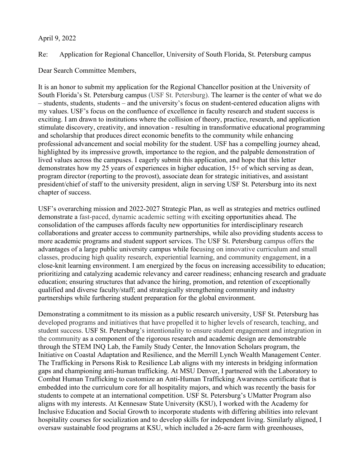## April 9, 2022

Re: Application for Regional Chancellor, University of South Florida, St. Petersburg campus

Dear Search Committee Members,

It is an honor to submit my application for the Regional Chancellor position at the University of South Florida's St. Petersburg campus (USF St. Petersburg). The learner is the center of what we do – students, students, students – and the university's focus on student-centered education aligns with my values. USF's focus on the confluence of excellence in faculty research and student success is exciting. I am drawn to institutions where the collision of theory, practice, research, and application stimulate discovery, creativity, and innovation - resulting in transformative educational programming and scholarship that produces direct economic benefits to the community while enhancing professional advancement and social mobility for the student. USF has a compelling journey ahead, highlighted by its impressive growth, importance to the region, and the palpable demonstration of lived values across the campuses. I eagerly submit this application, and hope that this letter demonstrates how my 25 years of experiences in higher education, 15+ of which serving as dean, program director (reporting to the provost), associate dean for strategic initiatives, and assistant president/chief of staff to the university president, align in serving USF St. Petersburg into its next chapter of success.

USF's overarching mission and 2022-2027 Strategic Plan, as well as strategies and metrics outlined demonstrate a fast-paced, dynamic academic setting with exciting opportunities ahead. The consolidation of the campuses affords faculty new opportunities for interdisciplinary research collaborations and greater access to community partnerships, while also providing students access to more academic programs and student support services. The USF St. Petersburg campus offers the advantages of a large public university campus while focusing on innovative curriculum and small classes, producing high quality research, experiential learning, and community engagement, in a close-knit learning environment. I am energized by the focus on increasing accessibility to education; prioritizing and catalyzing academic relevancy and career readiness; enhancing research and graduate education; ensuring structures that advance the hiring, promotion, and retention of exceptionally qualified and diverse faculty/staff; and strategically strengthening community and industry partnerships while furthering student preparation for the global environment.

Demonstrating a commitment to its mission as a public research university, USF St. Petersburg has developed programs and initiatives that have propelled it to higher levels of research, teaching, and student success. USF St. Petersburg's intentionality to ensure student engagement and integration in the community as a component of the rigorous research and academic design are demonstrable through the STEM INQ Lab, the Family Study Center, the Innovation Scholars program, the Initiative on Coastal Adaptation and Resilience, and the Merrill Lynch Wealth Management Center. The Trafficking in Persons Risk to Resilience Lab aligns with my interests in bridging information gaps and championing anti-human trafficking. At MSU Denver, I partnered with the Laboratory to Combat Human Trafficking to customize an Anti-Human Trafficking Awareness certificate that is embedded into the curriculum core for all hospitality majors, and which was recently the basis for students to compete at an international competition. USF St. Petersburg's UMatter Program also aligns with my interests. At Kennesaw State University (KSU), I worked with the Academy for Inclusive Education and Social Growth to incorporate students with differing abilities into relevant hospitality courses for socialization and to develop skills for independent living. Similarly aligned, I oversaw sustainable food programs at KSU, which included a 26-acre farm with greenhouses,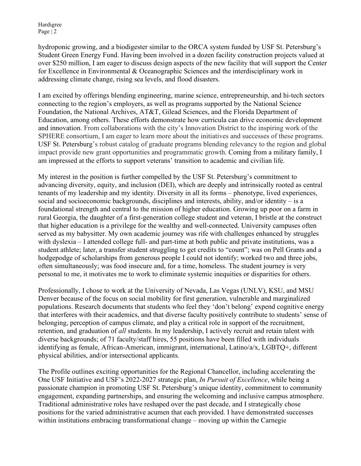Hardigree Page | 2

hydroponic growing, and a biodigester similar to the ORCA system funded by USF St. Petersburg's Student Green Energy Fund. Having been involved in a dozen facility construction projects valued at over \$250 million, I am eager to discuss design aspects of the new facility that will support the Center for Excellence in Environmental & Oceanographic Sciences and the interdisciplinary work in addressing climate change, rising sea levels, and flood disasters.

I am excited by offerings blending engineering, marine science, entrepreneurship, and hi-tech sectors connecting to the region's employers, as well as programs supported by the National Science Foundation, the National Archives, AT&T, Gilead Sciences, and the Florida Department of Education, among others. These efforts demonstrate how curricula can drive economic development and innovation. From collaborations with the city's Innovation District to the inspiring work of the SPHERE consortium, I am eager to learn more about the initiatives and successes of these programs. USF St. Petersburg's robust catalog of graduate programs blending relevancy to the region and global impact provide new grant opportunities and programmatic growth. Coming from a military family, I am impressed at the efforts to support veterans' transition to academic and civilian life.

My interest in the position is further compelled by the USF St. Petersburg's commitment to advancing diversity, equity, and inclusion (DEI), which are deeply and intrinsically rooted as central tenants of my leadership and my identity. Diversity in all its forms – phenotype, lived experiences, social and socioeconomic backgrounds, disciplines and interests, ability, and/or identity – is a foundational strength and central to the mission of higher education. Growing up poor on a farm in rural Georgia, the daughter of a first-generation college student and veteran, I bristle at the construct that higher education is a privilege for the wealthy and well-connected. University campuses often served as my babysitter. My own academic journey was rife with challenges enhanced by struggles with dyslexia – I attended college full- and part-time at both public and private institutions, was a student athlete; later, a transfer student struggling to get credits to "count"; was on Pell Grants and a hodgepodge of scholarships from generous people I could not identify; worked two and three jobs, often simultaneously; was food insecure and, for a time, homeless. The student journey is very personal to me, it motivates me to work to eliminate systemic inequities or disparities for others.

Professionally, I chose to work at the University of Nevada, Las Vegas (UNLV), KSU, and MSU Denver because of the focus on social mobility for first generation, vulnerable and marginalized populations. Research documents that students who feel they 'don't belong' expend cognitive energy that interferes with their academics, and that diverse faculty positively contribute to students' sense of belonging, perception of campus climate, and play a critical role in support of the recruitment, retention, and graduation of *all* students. In my leadership, I actively recruit and retain talent with diverse backgrounds; of 71 faculty/staff hires, 55 positions have been filled with individuals identifying as female, African-American, immigrant, international, Latino/a/x, LGBTQ+, different physical abilities, and/or intersectional applicants.

The Profile outlines exciting opportunities for the Regional Chancellor, including accelerating the One USF Initiative and USF's 2022-2027 strategic plan, *In Pursuit of Excellence*, while being a passionate champion in promoting USF St. Petersburg's unique identity, commitment to community engagement, expanding partnerships, and ensuring the welcoming and inclusive campus atmosphere. Traditional administrative roles have reshaped over the past decade, and I strategically chose positions for the varied administrative acumen that each provided. I have demonstrated successes within institutions embracing transformational change – moving up within the Carnegie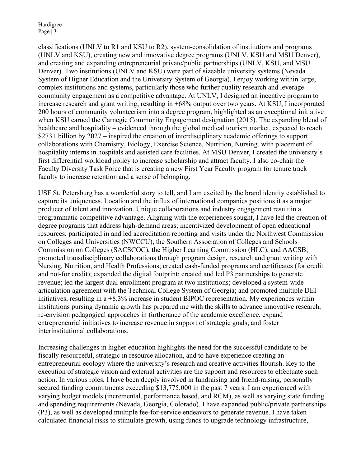Hardigree Page | 3

classifications (UNLV to R1 and KSU to R2), system-consolidation of institutions and programs (UNLV and KSU), creating new and innovative degree programs (UNLV, KSU and MSU Denver), and creating and expanding entrepreneurial private/public partnerships (UNLV, KSU, and MSU Denver). Two institutions (UNLV and KSU) were part of sizeable university systems (Nevada System of Higher Education and the University System of Georgia). I enjoy working within large, complex institutions and systems, particularly those who further quality research and leverage community engagement as a competitive advantage. At UNLV, I designed an incentive program to increase research and grant writing, resulting in +68% output over two years. At KSU, I incorporated 200 hours of community volunteerism into a degree program, highlighted as an exceptional initiative when KSU earned the Carnegie Community Engagement designation (2015). The expanding blend of healthcare and hospitality – evidenced through the global medical tourism market, expected to reach \$273+ billion by 2027 – inspired the creation of interdisciplinary academic offerings to support collaborations with Chemistry, Biology, Exercise Science, Nutrition, Nursing, with placement of hospitality interns in hospitals and assisted care facilities. At MSU Denver, I created the university's first differential workload policy to increase scholarship and attract faculty. I also co-chair the Faculty Diversity Task Force that is creating a new First Year Faculty program for tenure track faculty to increase retention and a sense of belonging.

USF St. Petersburg has a wonderful story to tell, and I am excited by the brand identity established to capture its uniqueness. Location and the influx of international companies positions it as a major producer of talent and innovation. Unique collaborations and industry engagement result in a programmatic competitive advantage. Aligning with the experiences sought, I have led the creation of degree programs that address high-demand areas; incentivized development of open educational resources; participated in and led accreditation reporting and visits under the Northwest Commission on Colleges and Universities (NWCCU), the Southern Association of Colleges and Schools Commission on Colleges (SACSCOC), the Higher Learning Commission (HLC), and AACSB; promoted transdisciplinary collaborations through program design, research and grant writing with Nursing, Nutrition, and Health Professions; created cash-funded programs and certificates (for credit and not-for credit); expanded the digital footprint; created and led P3 partnerships to generate revenue; led the largest dual enrollment program at two institutions; developed a system-wide articulation agreement with the Technical College System of Georgia; and promoted multiple DEI initiatives, resulting in a +8.3% increase in student BIPOC representation. My experiences within institutions pursing dynamic growth has prepared me with the skills to advance innovative research, re-envision pedagogical approaches in furtherance of the academic excellence, expand entrepreneurial initiatives to increase revenue in support of strategic goals, and foster interinstitutional collaborations.

Increasing challenges in higher education highlights the need for the successful candidate to be fiscally resourceful, strategic in resource allocation, and to have experience creating an entrepreneurial ecology where the university's research and creative activities flourish. Key to the execution of strategic vision and external activities are the support and resources to effectuate such action. In various roles, I have been deeply involved in fundraising and friend-raising, personally secured funding commitments exceeding \$13,775,000 in the past 7 years. I am experienced with varying budget models (incremental, performance based, and RCM), as well as varying state funding and spending requirements (Nevada, Georgia, Colorado). I have expanded public/private partnerships (P3), as well as developed multiple fee-for-service endeavors to generate revenue. I have taken calculated financial risks to stimulate growth, using funds to upgrade technology infrastructure,